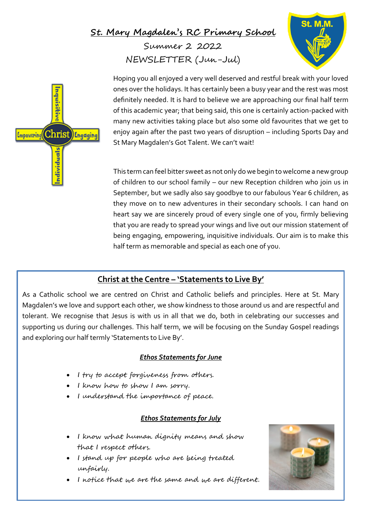## **St. Mary Magdalen's RC Primary School**

Summer 2 2022 NEWSLETTER (Jun-Jul)





Hoping you all enjoyed a very well deserved and restful break with your loved ones over the holidays. It has certainly been a busy year and the rest was most definitely needed. It is hard to believe we are approaching our final half term of this academic year; that being said, this one is certainly action-packed with many new activities taking place but also some old favourites that we get to enjoy again after the past two years of disruption – including Sports Day and St Mary Magdalen's Got Talent. We can't wait!

This term can feel bitter sweet as not only do we begin to welcome a new group of children to our school family – our new Reception children who join us in September, but we sadly also say goodbye to our fabulous Year 6 children, as they move on to new adventures in their secondary schools. I can hand on heart say we are sincerely proud of every single one of you, firmly believing that you are ready to spread your wings and live out our mission statement of being engaging, empowering, inquisitive individuals. Our aim is to make this half term as memorable and special as each one of you.

## **Christ at the Centre – 'Statements to Live By'**

As a Catholic school we are centred on Christ and Catholic beliefs and principles. Here at St. Mary Magdalen's we love and support each other, we show kindness to those around us and are respectful and tolerant. We recognise that Jesus is with us in all that we do, both in celebrating our successes and supporting us during our challenges. This half term, we will be focusing on the Sunday Gospel readings and exploring our half termly 'Statements to Live By'.

#### *Ethos Statements for June*

- I try to accept forgiveness from others.
- I know how to show I am sorry.
- I understand the importance of peace.

#### *Ethos Statements for July*

- I know what human dignity means and show that I respect others.
- I stand up for people who are being treated unfairly.
- I notice that we are the same and we are different.

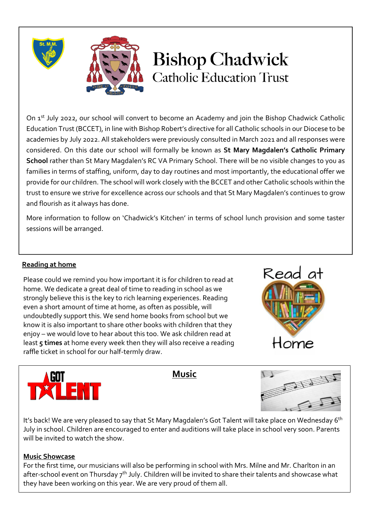



# **Bishop Chadwick Catholic Education Trust**

On 1<sup>st</sup> July 2022, our school will convert to become an Academy and join the Bishop Chadwick Catholic Education Trust (BCCET), in line with Bishop Robert's directive for all Catholic schools in our Diocese to be academies by July 2022. All stakeholders were previously consulted in March 2021 and all responses were considered. On this date our school will formally be known as **St Mary Magdalen's Catholic Primary School** rather than St Mary Magdalen's RC VA Primary School. There will be no visible changes to you as families in terms of staffing, uniform, day to day routines and most importantly, the educational offer we provide for our children. The school will work closely with the BCCET and other Catholic schools within the trust to ensure we strive for excellence across our schools and that St Mary Magdalen's continues to grow and flourish as it always has done.

More information to follow on 'Chadwick's Kitchen' in terms of school lunch provision and some taster sessions will be arranged.

#### **Reading at home**

Please could we remind you how important it is for children to read at home. We dedicate a great deal of time to reading in school as we strongly believe this is the key to rich learning experiences. Reading even a short amount of time at home, as often as possible, will undoubtedly support this. We send home books from school but we know it is also important to share other books with children that they enjoy – we would love to hear about this too. We ask children read at least **5 times** at home every week then they will also receive a reading raffle ticket in school for our half-termly draw.





**Music**



It's back! We are very pleased to say that St Mary Magdalen's Got Talent will take place on Wednesday 6<sup>th</sup> July in school. Children are encouraged to enter and auditions will take place in school very soon. Parents will be invited to watch the show.

#### **Music Showcase**

For the first time, our musicians will also be performing in school with Mrs. Milne and Mr. Charlton in an after-school event on Thursday  $7<sup>th</sup>$  July. Children will be invited to share their talents and showcase what they have been working on this year. We are very proud of them all.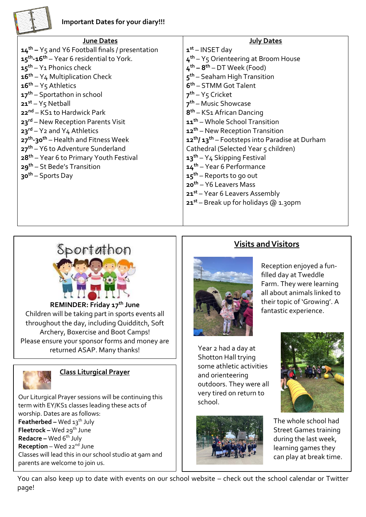

| <b>June Dates</b>                                                | <b>July Dates</b>                                                      |
|------------------------------------------------------------------|------------------------------------------------------------------------|
| $14th$ – Y <sub>5</sub> and Y6 Football finals / presentation    | $1st$ – INSET day                                                      |
| 15 <sup>th</sup> -16 <sup>th</sup> - Year 6 residential to York. | 4 <sup>th</sup> - Y <sub>5</sub> Orienteering at Broom House           |
| $15th - Y1$ Phonics check                                        | $4^{th} - 8^{th} - DT$ Week (Food)                                     |
| $16th - Y4$ Multiplication Check                                 | $5th$ – Seaham High Transition                                         |
| $16^{th} - Y_5$ Athletics                                        | 6 <sup>th</sup> – STMM Got Talent                                      |
| $17th$ – Sportathon in school                                    | $7^{th} - Y_5$ Cricket                                                 |
| $21^{st} - Y_5$ Netball                                          | 7 <sup>th</sup> – Music Showcase                                       |
| 22 <sup>nd</sup> – KS1 to Hardwick Park                          | 8 <sup>th</sup> – KS1 African Dancing                                  |
| 23rd – New Reception Parents Visit                               | 11 <sup>th</sup> – Whole School Transition                             |
| $23^{rd}$ – Y <sub>2</sub> and Y <sub>4</sub> Athletics          | 12 <sup>th</sup> – New Reception Transition                            |
| 27 <sup>th</sup> -30 <sup>th</sup> – Health and Fitness Week     | 12 <sup>th</sup> /13 <sup>th</sup> - Footsteps into Paradise at Durham |
| 27 <sup>th</sup> - Y6 to Adventure Sunderland                    | Cathedral (Selected Year 5 children)                                   |
| 28 <sup>th</sup> – Year 6 to Primary Youth Festival              | $13^{th} - Y_4$ Skipping Festival                                      |
| 29 <sup>th</sup> – St Bede's Transition                          | 14 <sup>th</sup> – Year 6 Performance                                  |
| 30 <sup>th</sup> – Sports Day                                    | $15^{\text{th}}$ – Reports to go out                                   |
|                                                                  | 20 <sup>th</sup> – Y6 Leavers Mass                                     |
|                                                                  | $21^{st}$ – Year 6 Leavers Assembly                                    |
|                                                                  | $21^{st}$ – Break up for holidays @ 1.30pm                             |
|                                                                  |                                                                        |



**REMINDER: Friday 17th June** Children will be taking part in sports events all throughout the day, including Quidditch, Soft Archery, Boxercise and Boot Camps! Please ensure your sponsor forms and money are returned ASAP. Many thanks!



#### **Class Liturgical Prayer**

**Featherbed –** Wed 13<sup>th</sup> July Our Liturgical Prayer sessions will be continuing this term with EY/KS1 classes leading these acts of worship. Dates are as follows: **Fleetrock –** Wed 29<sup>th</sup> June **Redacre –** Wed 6 th July **Reception** – Wed 22<sup>nd</sup> June Classes will lead this in our school studio at 9am and parents are welcome to join us.

## **Visits and Visitors**



Reception enjoyed a funfilled day at Tweddle Farm. They were learning all about animals linked to their topic of 'Growing'. A fantastic experience.

Year 2 had a day at Shotton Hall trying some athletic activities and orienteering outdoors. They were all very tired on return to school.





The whole school had Street Games training during the last week, learning games they can play at break time.

You can also keep up to date with events on our school website – check out the school calendar or Twitter page!